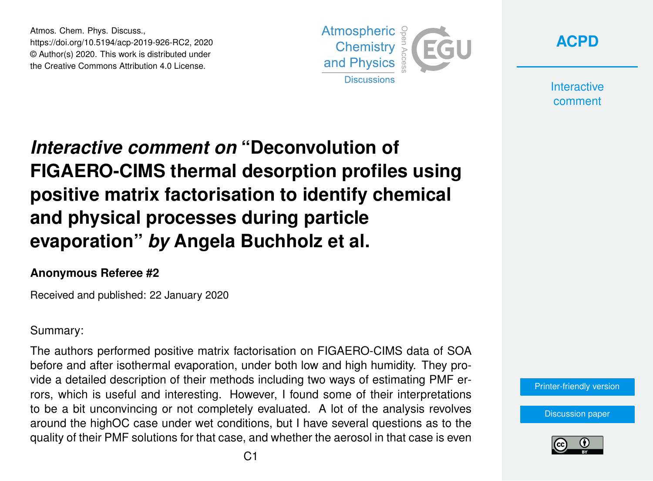Atmos. Chem. Phys. Discuss., https://doi.org/10.5194/acp-2019-926-RC2, 2020 © Author(s) 2020. This work is distributed under the Creative Commons Attribution 4.0 License.





**Interactive** comment

# *Interactive comment on* **"Deconvolution of FIGAERO-CIMS thermal desorption profiles using positive matrix factorisation to identify chemical and physical processes during particle evaporation"** *by* **Angela Buchholz et al.**

#### **Anonymous Referee #2**

Received and published: 22 January 2020

#### Summary:

The authors performed positive matrix factorisation on FIGAERO-CIMS data of SOA before and after isothermal evaporation, under both low and high humidity. They provide a detailed description of their methods including two ways of estimating PMF errors, which is useful and interesting. However, I found some of their interpretations to be a bit unconvincing or not completely evaluated. A lot of the analysis revolves around the highOC case under wet conditions, but I have several questions as to the quality of their PMF solutions for that case, and whether the aerosol in that case is even



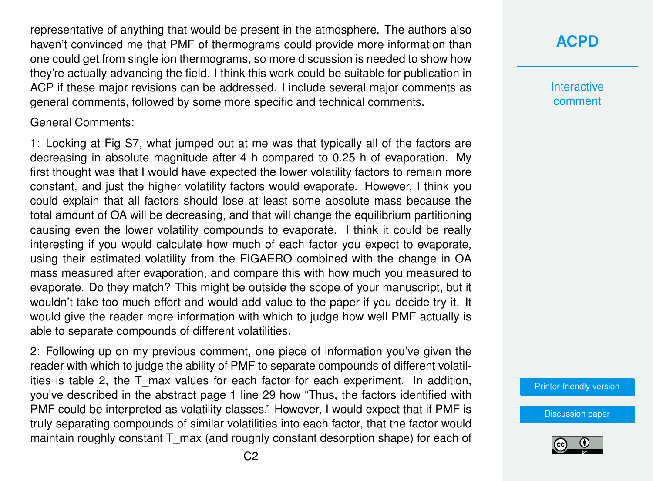representative of anything that would be present in the atmosphere. The authors also haven't convinced me that PMF of thermograms could provide more information than one could get from single ion thermograms, so more discussion is needed to show how they're actually advancing the field. I think this work could be suitable for publication in ACP if these major revisions can be addressed. I include several major comments as general comments, followed by some more specific and technical comments.

General Comments:

1: Looking at Fig S7, what jumped out at me was that typically all of the factors are decreasing in absolute magnitude after 4 h compared to 0.25 h of evaporation. My first thought was that I would have expected the lower volatility factors to remain more constant, and just the higher volatility factors would evaporate. However, I think you could explain that all factors should lose at least some absolute mass because the total amount of OA will be decreasing, and that will change the equilibrium partitioning causing even the lower volatility compounds to evaporate. I think it could be really interesting if you would calculate how much of each factor you expect to evaporate, using their estimated volatility from the FIGAERO combined with the change in OA mass measured after evaporation, and compare this with how much you measured to evaporate. Do they match? This might be outside the scope of your manuscript, but it wouldn't take too much effort and would add value to the paper if you decide try it. It would give the reader more information with which to judge how well PMF actually is able to separate compounds of different volatilities.

2: Following up on my previous comment, one piece of information you've given the reader with which to judge the ability of PMF to separate compounds of different volatilities is table 2, the T\_max values for each factor for each experiment. In addition, you've described in the abstract page 1 line 29 how "Thus, the factors identified with PMF could be interpreted as volatility classes." However, I would expect that if PMF is truly separating compounds of similar volatilities into each factor, that the factor would maintain roughly constant T\_max (and roughly constant desorption shape) for each of **[ACPD](https://www.atmos-chem-phys-discuss.net/)**

**Interactive** comment

[Printer-friendly version](https://www.atmos-chem-phys-discuss.net/acp-2019-926/acp-2019-926-RC2-print.pdf)

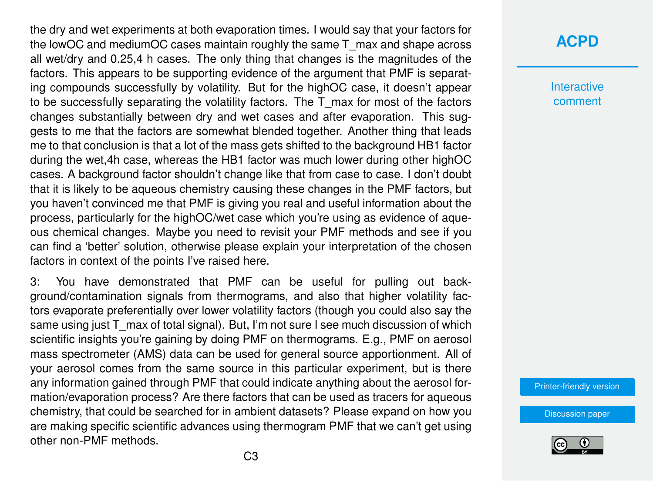the dry and wet experiments at both evaporation times. I would say that your factors for the lowOC and mediumOC cases maintain roughly the same T\_max and shape across all wet/dry and 0.25,4 h cases. The only thing that changes is the magnitudes of the factors. This appears to be supporting evidence of the argument that PMF is separating compounds successfully by volatility. But for the highOC case, it doesn't appear to be successfully separating the volatility factors. The T\_max for most of the factors changes substantially between dry and wet cases and after evaporation. This suggests to me that the factors are somewhat blended together. Another thing that leads me to that conclusion is that a lot of the mass gets shifted to the background HB1 factor during the wet,4h case, whereas the HB1 factor was much lower during other highOC cases. A background factor shouldn't change like that from case to case. I don't doubt that it is likely to be aqueous chemistry causing these changes in the PMF factors, but you haven't convinced me that PMF is giving you real and useful information about the process, particularly for the highOC/wet case which you're using as evidence of aqueous chemical changes. Maybe you need to revisit your PMF methods and see if you can find a 'better' solution, otherwise please explain your interpretation of the chosen factors in context of the points I've raised here.

3: You have demonstrated that PMF can be useful for pulling out background/contamination signals from thermograms, and also that higher volatility factors evaporate preferentially over lower volatility factors (though you could also say the same using just T\_max of total signal). But, I'm not sure I see much discussion of which scientific insights you're gaining by doing PMF on thermograms. E.g., PMF on aerosol mass spectrometer (AMS) data can be used for general source apportionment. All of your aerosol comes from the same source in this particular experiment, but is there any information gained through PMF that could indicate anything about the aerosol formation/evaporation process? Are there factors that can be used as tracers for aqueous chemistry, that could be searched for in ambient datasets? Please expand on how you are making specific scientific advances using thermogram PMF that we can't get using other non-PMF methods.

### **[ACPD](https://www.atmos-chem-phys-discuss.net/)**

**Interactive** comment

[Printer-friendly version](https://www.atmos-chem-phys-discuss.net/acp-2019-926/acp-2019-926-RC2-print.pdf)

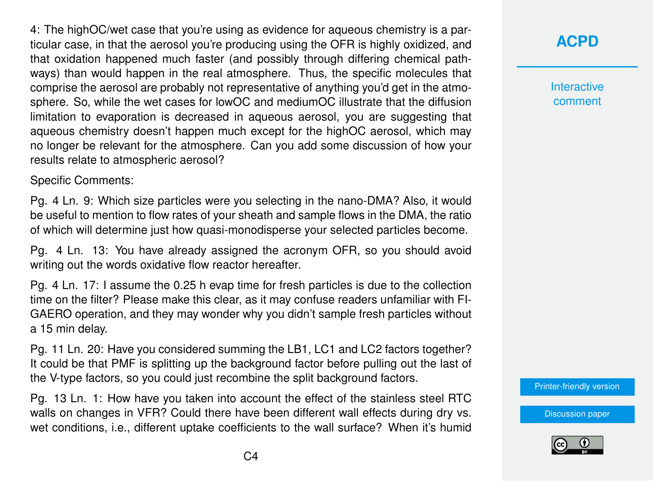4: The highOC/wet case that you're using as evidence for aqueous chemistry is a particular case, in that the aerosol you're producing using the OFR is highly oxidized, and that oxidation happened much faster (and possibly through differing chemical pathways) than would happen in the real atmosphere. Thus, the specific molecules that comprise the aerosol are probably not representative of anything you'd get in the atmosphere. So, while the wet cases for lowOC and mediumOC illustrate that the diffusion limitation to evaporation is decreased in aqueous aerosol, you are suggesting that aqueous chemistry doesn't happen much except for the highOC aerosol, which may no longer be relevant for the atmosphere. Can you add some discussion of how your results relate to atmospheric aerosol?

Specific Comments:

Pg. 4 Ln. 9: Which size particles were you selecting in the nano-DMA? Also, it would be useful to mention to flow rates of your sheath and sample flows in the DMA, the ratio of which will determine just how quasi-monodisperse your selected particles become.

Pg. 4 Ln. 13: You have already assigned the acronym OFR, so you should avoid writing out the words oxidative flow reactor hereafter.

Pg. 4 Ln. 17: I assume the 0.25 h evap time for fresh particles is due to the collection time on the filter? Please make this clear, as it may confuse readers unfamiliar with FI-GAERO operation, and they may wonder why you didn't sample fresh particles without a 15 min delay.

Pg. 11 Ln. 20: Have you considered summing the LB1, LC1 and LC2 factors together? It could be that PMF is splitting up the background factor before pulling out the last of the V-type factors, so you could just recombine the split background factors.

Pg. 13 Ln. 1: How have you taken into account the effect of the stainless steel RTC walls on changes in VFR? Could there have been different wall effects during dry vs. wet conditions, i.e., different uptake coefficients to the wall surface? When it's humid

## **[ACPD](https://www.atmos-chem-phys-discuss.net/)**

**Interactive** comment

[Printer-friendly version](https://www.atmos-chem-phys-discuss.net/acp-2019-926/acp-2019-926-RC2-print.pdf)